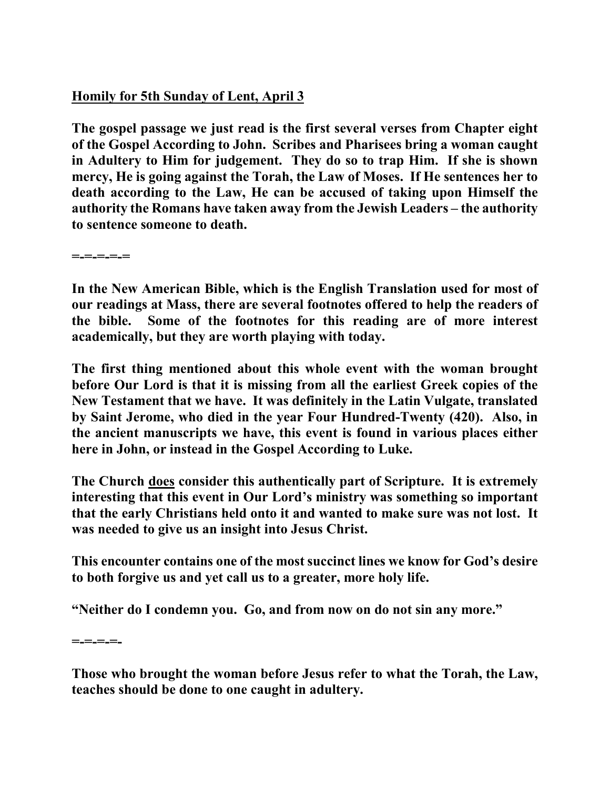## **Homily for 5th Sunday of Lent, April 3**

**The gospel passage we just read is the first several verses from Chapter eight of the Gospel According to John. Scribes and Pharisees bring a woman caught in Adultery to Him for judgement. They do so to trap Him. If she is shown mercy, He is going against the Torah, the Law of Moses. If He sentences her to death according to the Law, He can be accused of taking upon Himself the authority the Romans have taken away from the Jewish Leaders – the authority to sentence someone to death.** 

**=-=-=-=-=** 

**In the New American Bible, which is the English Translation used for most of our readings at Mass, there are several footnotes offered to help the readers of the bible. Some of the footnotes for this reading are of more interest academically, but they are worth playing with today.** 

**The first thing mentioned about this whole event with the woman brought before Our Lord is that it is missing from all the earliest Greek copies of the New Testament that we have. It was definitely in the Latin Vulgate, translated by Saint Jerome, who died in the year Four Hundred-Twenty (420). Also, in the ancient manuscripts we have, this event is found in various places either here in John, or instead in the Gospel According to Luke.** 

**The Church does consider this authentically part of Scripture. It is extremely interesting that this event in Our Lord's ministry was something so important that the early Christians held onto it and wanted to make sure was not lost. It was needed to give us an insight into Jesus Christ.** 

**This encounter contains one of the most succinct lines we know for God's desire to both forgive us and yet call us to a greater, more holy life.** 

**"Neither do I condemn you. Go, and from now on do not sin any more."** 

**=-=-=-=-** 

**Those who brought the woman before Jesus refer to what the Torah, the Law, teaches should be done to one caught in adultery.**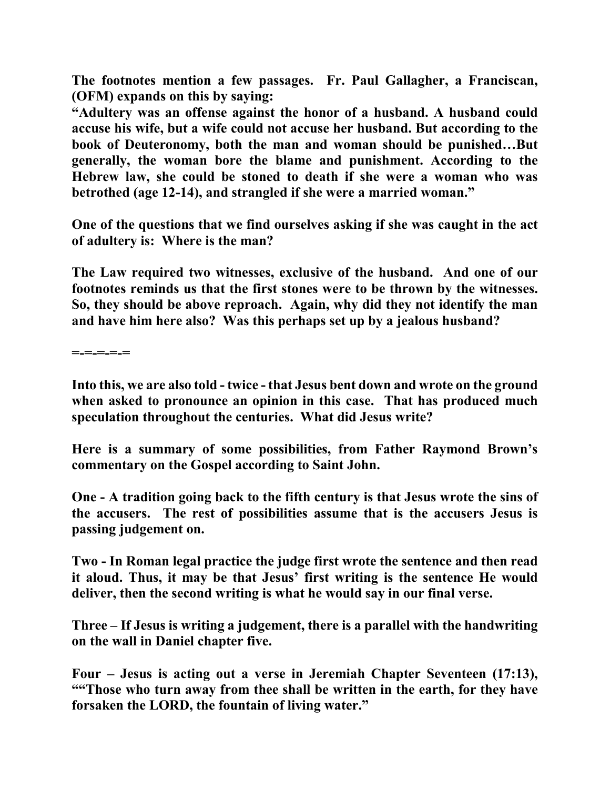**The footnotes mention a few passages. Fr. Paul Gallagher, a Franciscan, (OFM) expands on this by saying:** 

**"Adultery was an offense against the honor of a husband. A husband could accuse his wife, but a wife could not accuse her husband. But according to the book of Deuteronomy, both the man and woman should be punished…But generally, the woman bore the blame and punishment. According to the Hebrew law, she could be stoned to death if she were a woman who was betrothed (age 12-14), and strangled if she were a married woman."** 

**One of the questions that we find ourselves asking if she was caught in the act of adultery is: Where is the man?** 

**The Law required two witnesses, exclusive of the husband. And one of our footnotes reminds us that the first stones were to be thrown by the witnesses. So, they should be above reproach. Again, why did they not identify the man and have him here also? Was this perhaps set up by a jealous husband?** 

**=-=-=-=-=** 

**Into this, we are also told - twice - that Jesus bent down and wrote on the ground when asked to pronounce an opinion in this case. That has produced much speculation throughout the centuries. What did Jesus write?** 

**Here is a summary of some possibilities, from Father Raymond Brown's commentary on the Gospel according to Saint John.** 

**One - A tradition going back to the fifth century is that Jesus wrote the sins of the accusers. The rest of possibilities assume that is the accusers Jesus is passing judgement on.** 

**Two - In Roman legal practice the judge first wrote the sentence and then read it aloud. Thus, it may be that Jesus' first writing is the sentence He would deliver, then the second writing is what he would say in our final verse.** 

**Three – If Jesus is writing a judgement, there is a parallel with the handwriting on the wall in Daniel chapter five.** 

**Four – Jesus is acting out a verse in Jeremiah Chapter Seventeen (17:13), ""Those who turn away from thee shall be written in the earth, for they have forsaken the LORD, the fountain of living water."**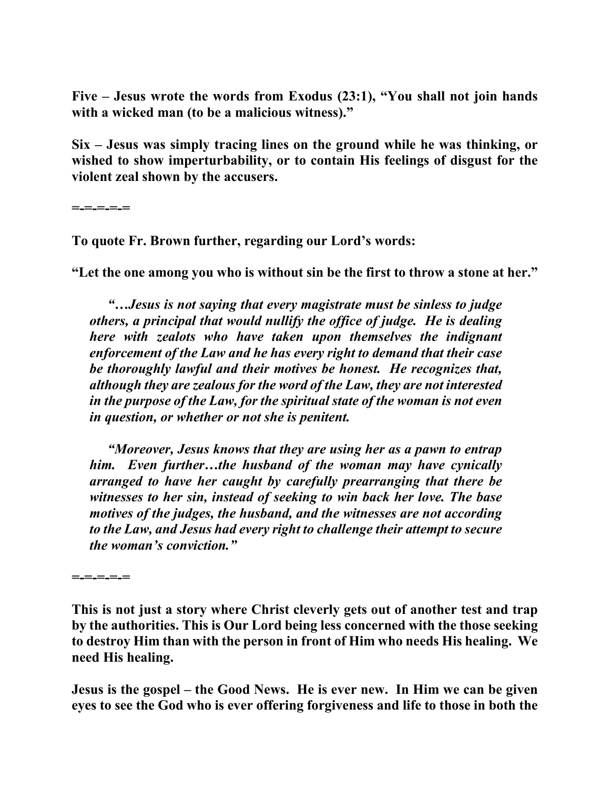**Five – Jesus wrote the words from Exodus (23:1), "You shall not join hands with a wicked man (to be a malicious witness)."** 

**Six – Jesus was simply tracing lines on the ground while he was thinking, or wished to show imperturbability, or to contain His feelings of disgust for the violent zeal shown by the accusers.** 

**=-=-=-=-=** 

**To quote Fr. Brown further, regarding our Lord's words:** 

**"Let the one among you who is without sin be the first to throw a stone at her."** 

*"…Jesus is not saying that every magistrate must be sinless to judge others, a principal that would nullify the office of judge. He is dealing here with zealots who have taken upon themselves the indignant enforcement of the Law and he has every right to demand that their case be thoroughly lawful and their motives be honest. He recognizes that, although they are zealous for the word of the Law, they are not interested in the purpose of the Law, for the spiritual state of the woman is not even in question, or whether or not she is penitent.* 

*"Moreover, Jesus knows that they are using her as a pawn to entrap him. Even further…the husband of the woman may have cynically arranged to have her caught by carefully prearranging that there be witnesses to her sin, instead of seeking to win back her love. The base motives of the judges, the husband, and the witnesses are not according to the Law, and Jesus had every right to challenge their attempt to secure the woman's conviction."* 

**=-=-=-=-=** 

**This is not just a story where Christ cleverly gets out of another test and trap by the authorities. This is Our Lord being less concerned with the those seeking to destroy Him than with the person in front of Him who needs His healing. We need His healing.** 

**Jesus is the gospel – the Good News. He is ever new. In Him we can be given eyes to see the God who is ever offering forgiveness and life to those in both the**